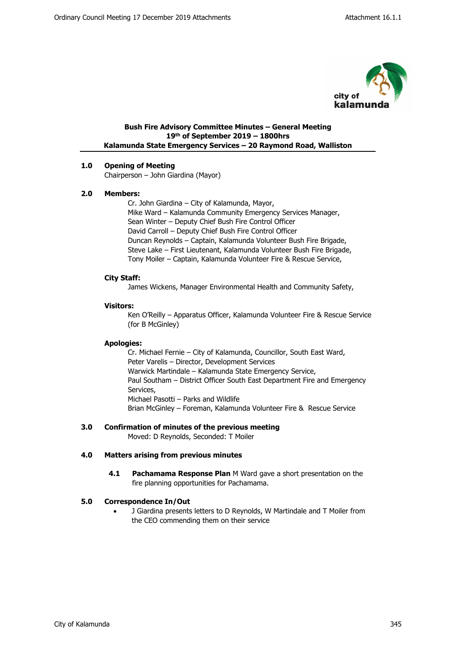

## **Bush Fire Advisory Committee Minutes – General Meeting 19th of September 2019 – 1800hrs Kalamunda State Emergency Services – 20 Raymond Road, Walliston**

# **1.0 Opening of Meeting**

Chairperson – John Giardina (Mayor)

#### **2.0 Members:**

Cr. John Giardina – City of Kalamunda, Mayor, Mike Ward – Kalamunda Community Emergency Services Manager, Sean Winter – Deputy Chief Bush Fire Control Officer David Carroll – Deputy Chief Bush Fire Control Officer Duncan Reynolds – Captain, Kalamunda Volunteer Bush Fire Brigade, Steve Lake – First Lieutenant, Kalamunda Volunteer Bush Fire Brigade, Tony Moiler – Captain, Kalamunda Volunteer Fire & Rescue Service,

#### **City Staff:**

James Wickens, Manager Environmental Health and Community Safety,

#### **Visitors:**

Ken O'Reilly – Apparatus Officer, Kalamunda Volunteer Fire & Rescue Service (for B McGinley)

#### **Apologies:**

Cr. Michael Fernie – City of Kalamunda, Councillor, South East Ward, Peter Varelis – Director, Development Services Warwick Martindale – Kalamunda State Emergency Service, Paul Southam – District Officer South East Department Fire and Emergency Services, Michael Pasotti – Parks and Wildlife Brian McGinley – Foreman, Kalamunda Volunteer Fire & Rescue Service

# **3.0 Confirmation of minutes of the previous meeting**

Moved: D Reynolds, Seconded: T Moiler

#### **4.0 Matters arising from previous minutes**

**4.1 Pachamama Response Plan** M Ward gave a short presentation on the fire planning opportunities for Pachamama.

#### **5.0 Correspondence In/Out**

 J Giardina presents letters to D Reynolds, W Martindale and T Moiler from the CEO commending them on their service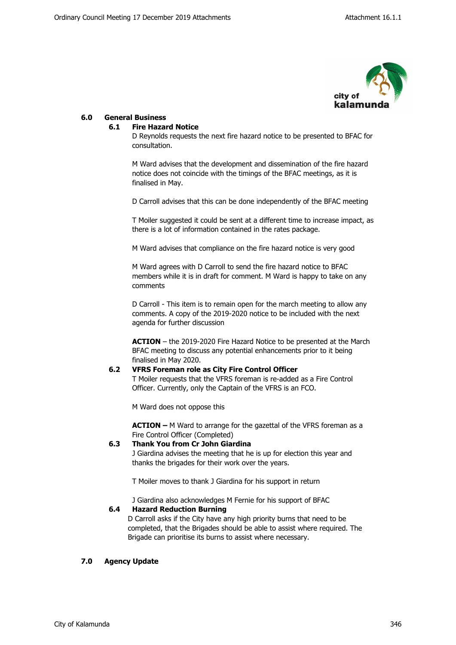

#### **6.0 General Business**

#### **6.1 Fire Hazard Notice**

D Reynolds requests the next fire hazard notice to be presented to BFAC for consultation.

M Ward advises that the development and dissemination of the fire hazard notice does not coincide with the timings of the BFAC meetings, as it is finalised in May.

D Carroll advises that this can be done independently of the BFAC meeting

T Moiler suggested it could be sent at a different time to increase impact, as there is a lot of information contained in the rates package.

M Ward advises that compliance on the fire hazard notice is very good

M Ward agrees with D Carroll to send the fire hazard notice to BFAC members while it is in draft for comment. M Ward is happy to take on any comments

D Carroll - This item is to remain open for the march meeting to allow any comments. A copy of the 2019-2020 notice to be included with the next agenda for further discussion

**ACTION** – the 2019-2020 Fire Hazard Notice to be presented at the March BFAC meeting to discuss any potential enhancements prior to it being finalised in May 2020.

#### **6.2 VFRS Foreman role as City Fire Control Officer**

T Moiler requests that the VFRS foreman is re-added as a Fire Control Officer. Currently, only the Captain of the VFRS is an FCO.

M Ward does not oppose this

**ACTION –** M Ward to arrange for the gazettal of the VFRS foreman as a Fire Control Officer (Completed)

## **6.3 Thank You from Cr John Giardina**

J Giardina advises the meeting that he is up for election this year and thanks the brigades for their work over the years.

T Moiler moves to thank J Giardina for his support in return

J Giardina also acknowledges M Fernie for his support of BFAC

#### **6.4 Hazard Reduction Burning**

D Carroll asks if the City have any high priority burns that need to be completed, that the Brigades should be able to assist where required. The Brigade can prioritise its burns to assist where necessary.

#### **7.0 Agency Update**